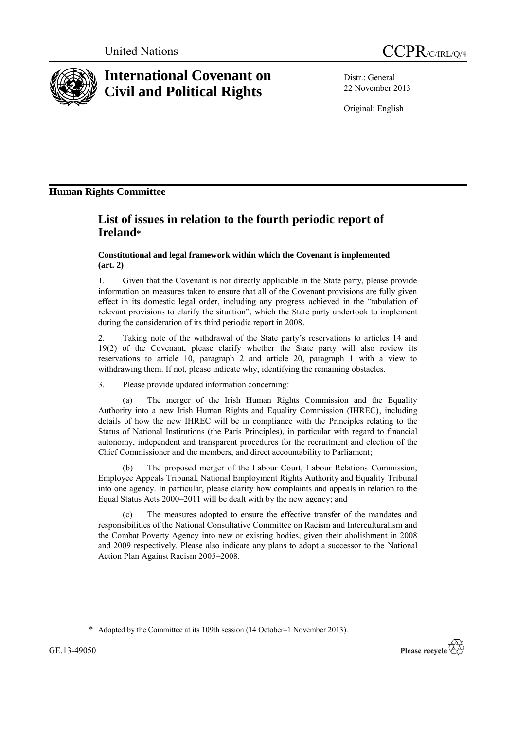



# **International Covenant on Civil and Political Rights**

Distr.: General 22 November 2013

Original: English

# **Human Rights Committee**

# **List of issues in relation to the fourth periodic report of Ireland\***

**Constitutional and legal framework within which the Covenant is implemented (art. 2)**

1. Given that the Covenant is not directly applicable in the State party, please provide information on measures taken to ensure that all of the Covenant provisions are fully given effect in its domestic legal order, including any progress achieved in the "tabulation of relevant provisions to clarify the situation", which the State party undertook to implement during the consideration of its third periodic report in 2008.

2. Taking note of the withdrawal of the State party's reservations to articles 14 and 19(2) of the Covenant, please clarify whether the State party will also review its reservations to article 10, paragraph 2 and article 20, paragraph 1 with a view to withdrawing them. If not, please indicate why, identifying the remaining obstacles.

3. Please provide updated information concerning:

The merger of the Irish Human Rights Commission and the Equality Authority into a new Irish Human Rights and Equality Commission (IHREC), including details of how the new IHREC will be in compliance with the Principles relating to the Status of National Institutions (the Paris Principles), in particular with regard to financial autonomy, independent and transparent procedures for the recruitment and election of the Chief Commissioner and the members, and direct accountability to Parliament;

(b) The proposed merger of the Labour Court, Labour Relations Commission, Employee Appeals Tribunal, National Employment Rights Authority and Equality Tribunal into one agency. In particular, please clarify how complaints and appeals in relation to the Equal Status Acts 2000–2011 will be dealt with by the new agency; and

The measures adopted to ensure the effective transfer of the mandates and responsibilities of the National Consultative Committee on Racism and Interculturalism and the Combat Poverty Agency into new or existing bodies, given their abolishment in 2008 and 2009 respectively. Please also indicate any plans to adopt a successor to the National Action Plan Against Racism 2005–2008.



<sup>\*</sup> Adopted by the Committee at its 109th session (14 October–1 November 2013).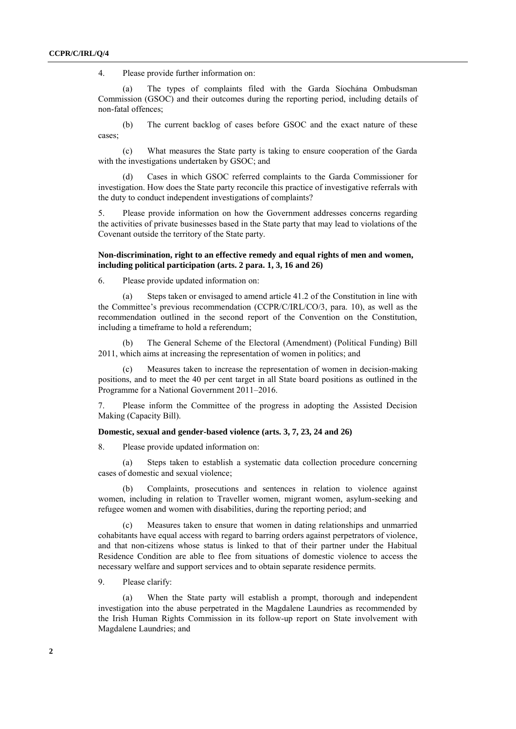4. Please provide further information on:

(a) The types of complaints filed with the Garda Síochána Ombudsman Commission (GSOC) and their outcomes during the reporting period, including details of non-fatal offences;

(b) The current backlog of cases before GSOC and the exact nature of these cases;

(c) What measures the State party is taking to ensure cooperation of the Garda with the investigations undertaken by GSOC; and

(d) Cases in which GSOC referred complaints to the Garda Commissioner for investigation. How does the State party reconcile this practice of investigative referrals with the duty to conduct independent investigations of complaints?

5. Please provide information on how the Government addresses concerns regarding the activities of private businesses based in the State party that may lead to violations of the Covenant outside the territory of the State party.

# **Non-discrimination, right to an effective remedy and equal rights of men and women, including political participation (arts. 2 para. 1, 3, 16 and 26)**

6. Please provide updated information on:

(a) Steps taken or envisaged to amend article 41.2 of the Constitution in line with the Committee's previous recommendation (CCPR/C/IRL/CO/3, para. 10), as well as the recommendation outlined in the second report of the Convention on the Constitution, including a timeframe to hold a referendum;

(b) The General Scheme of the Electoral (Amendment) (Political Funding) Bill 2011, which aims at increasing the representation of women in politics; and

(c) Measures taken to increase the representation of women in decision-making positions, and to meet the 40 per cent target in all State board positions as outlined in the Programme for a National Government 2011–2016.

7. Please inform the Committee of the progress in adopting the Assisted Decision Making (Capacity Bill).

# **Domestic, sexual and gender-based violence (arts. 3, 7, 23, 24 and 26)**

8. Please provide updated information on:

(a) Steps taken to establish a systematic data collection procedure concerning cases of domestic and sexual violence;

(b) Complaints, prosecutions and sentences in relation to violence against women, including in relation to Traveller women, migrant women, asylum-seeking and refugee women and women with disabilities, during the reporting period; and

(c) Measures taken to ensure that women in dating relationships and unmarried cohabitants have equal access with regard to barring orders against perpetrators of violence, and that non-citizens whose status is linked to that of their partner under the Habitual Residence Condition are able to flee from situations of domestic violence to access the necessary welfare and support services and to obtain separate residence permits.

9. Please clarify:

When the State party will establish a prompt, thorough and independent investigation into the abuse perpetrated in the Magdalene Laundries as recommended by the Irish Human Rights Commission in its follow-up report on State involvement with Magdalene Laundries; and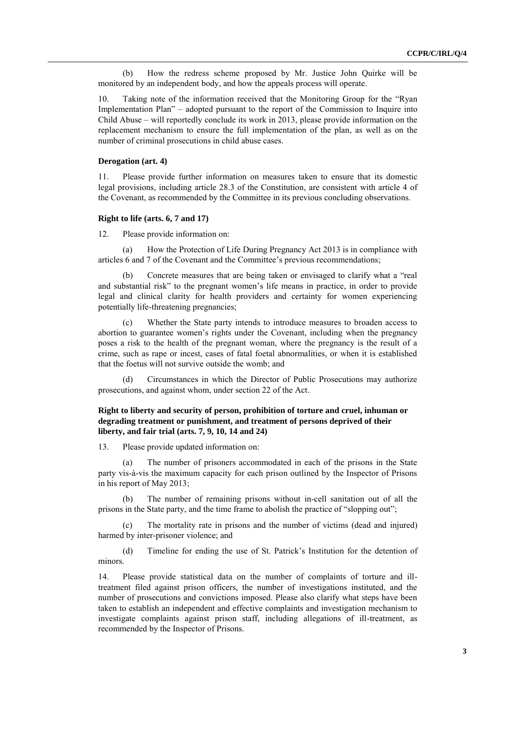(b) How the redress scheme proposed by Mr. Justice John Quirke will be monitored by an independent body, and how the appeals process will operate.

10. Taking note of the information received that the Monitoring Group for the "Ryan Implementation Plan" – adopted pursuant to the report of the Commission to Inquire into Child Abuse – will reportedly conclude its work in 2013, please provide information on the replacement mechanism to ensure the full implementation of the plan, as well as on the number of criminal prosecutions in child abuse cases.

#### **Derogation (art. 4)**

11. Please provide further information on measures taken to ensure that its domestic legal provisions, including article 28.3 of the Constitution, are consistent with article 4 of the Covenant, as recommended by the Committee in its previous concluding observations.

#### **Right to life (arts. 6, 7 and 17)**

12. Please provide information on:

(a) How the Protection of Life During Pregnancy Act 2013 is in compliance with articles 6 and 7 of the Covenant and the Committee's previous recommendations;

(b) Concrete measures that are being taken or envisaged to clarify what a "real and substantial risk" to the pregnant women's life means in practice, in order to provide legal and clinical clarity for health providers and certainty for women experiencing potentially life-threatening pregnancies;

(c) Whether the State party intends to introduce measures to broaden access to abortion to guarantee women's rights under the Covenant, including when the pregnancy poses a risk to the health of the pregnant woman, where the pregnancy is the result of a crime, such as rape or incest, cases of fatal foetal abnormalities, or when it is established that the foetus will not survive outside the womb; and

(d) Circumstances in which the Director of Public Prosecutions may authorize prosecutions, and against whom, under section 22 of the Act.

# **Right to liberty and security of person, prohibition of torture and cruel, inhuman or degrading treatment or punishment, and treatment of persons deprived of their liberty, and fair trial (arts. 7, 9, 10, 14 and 24)**

13. Please provide updated information on:

(a) The number of prisoners accommodated in each of the prisons in the State party vis-à-vis the maximum capacity for each prison outlined by the Inspector of Prisons in his report of May 2013;

(b) The number of remaining prisons without in-cell sanitation out of all the prisons in the State party, and the time frame to abolish the practice of "slopping out";

(c) The mortality rate in prisons and the number of victims (dead and injured) harmed by inter-prisoner violence; and

(d) Timeline for ending the use of St. Patrick's Institution for the detention of minors.

14. Please provide statistical data on the number of complaints of torture and illtreatment filed against prison officers, the number of investigations instituted, and the number of prosecutions and convictions imposed. Please also clarify what steps have been taken to establish an independent and effective complaints and investigation mechanism to investigate complaints against prison staff, including allegations of ill-treatment, as recommended by the Inspector of Prisons.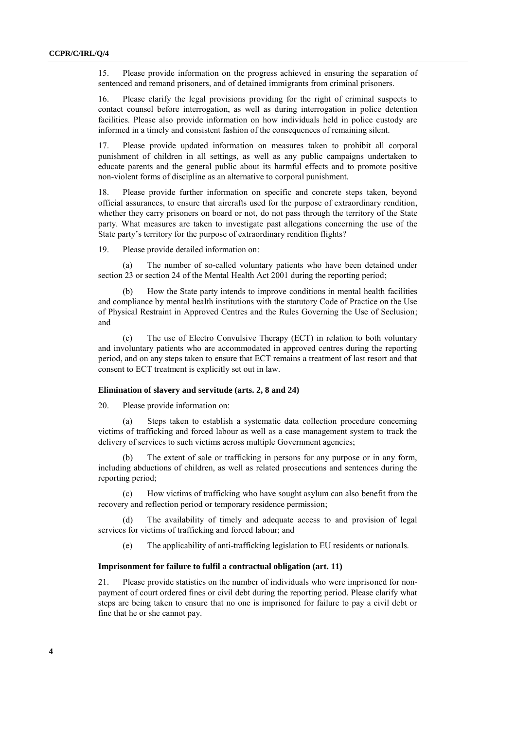15. Please provide information on the progress achieved in ensuring the separation of sentenced and remand prisoners, and of detained immigrants from criminal prisoners.

16. Please clarify the legal provisions providing for the right of criminal suspects to contact counsel before interrogation, as well as during interrogation in police detention facilities. Please also provide information on how individuals held in police custody are informed in a timely and consistent fashion of the consequences of remaining silent.

17. Please provide updated information on measures taken to prohibit all corporal punishment of children in all settings, as well as any public campaigns undertaken to educate parents and the general public about its harmful effects and to promote positive non-violent forms of discipline as an alternative to corporal punishment.

18. Please provide further information on specific and concrete steps taken, beyond official assurances, to ensure that aircrafts used for the purpose of extraordinary rendition, whether they carry prisoners on board or not, do not pass through the territory of the State party. What measures are taken to investigate past allegations concerning the use of the State party's territory for the purpose of extraordinary rendition flights?

19. Please provide detailed information on:

(a) The number of so-called voluntary patients who have been detained under section 23 or section 24 of the Mental Health Act 2001 during the reporting period;

How the State party intends to improve conditions in mental health facilities and compliance by mental health institutions with the statutory Code of Practice on the Use of Physical Restraint in Approved Centres and the Rules Governing the Use of Seclusion; and

(c) The use of Electro Convulsive Therapy (ECT) in relation to both voluntary and involuntary patients who are accommodated in approved centres during the reporting period, and on any steps taken to ensure that ECT remains a treatment of last resort and that consent to ECT treatment is explicitly set out in law.

#### **Elimination of slavery and servitude (arts. 2, 8 and 24)**

20. Please provide information on:

(a) Steps taken to establish a systematic data collection procedure concerning victims of trafficking and forced labour as well as a case management system to track the delivery of services to such victims across multiple Government agencies;

(b) The extent of sale or trafficking in persons for any purpose or in any form, including abductions of children, as well as related prosecutions and sentences during the reporting period;

(c) How victims of trafficking who have sought asylum can also benefit from the recovery and reflection period or temporary residence permission;

The availability of timely and adequate access to and provision of legal services for victims of trafficking and forced labour; and

(e) The applicability of anti-trafficking legislation to EU residents or nationals.

#### **Imprisonment for failure to fulfil a contractual obligation (art. 11)**

21. Please provide statistics on the number of individuals who were imprisoned for nonpayment of court ordered fines or civil debt during the reporting period. Please clarify what steps are being taken to ensure that no one is imprisoned for failure to pay a civil debt or fine that he or she cannot pay.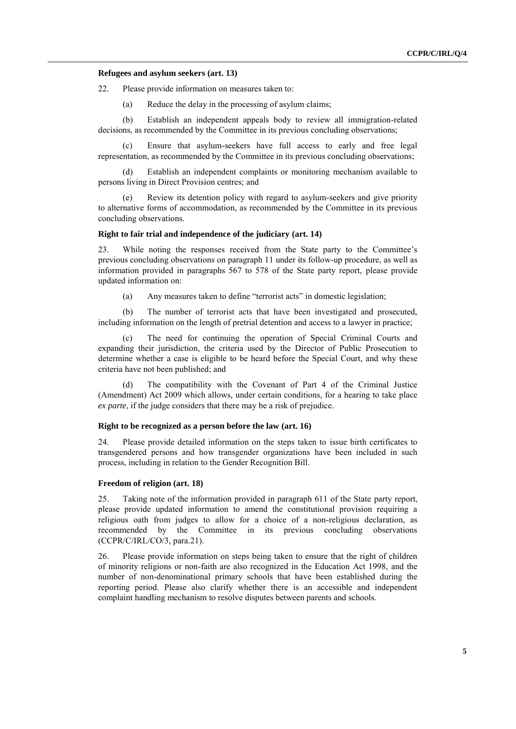## **Refugees and asylum seekers (art. 13)**

22. Please provide information on measures taken to:

(a) Reduce the delay in the processing of asylum claims;

(b) Establish an independent appeals body to review all immigration-related decisions, as recommended by the Committee in its previous concluding observations;

(c) Ensure that asylum-seekers have full access to early and free legal representation, as recommended by the Committee in its previous concluding observations;

(d) Establish an independent complaints or monitoring mechanism available to persons living in Direct Provision centres; and

(e) Review its detention policy with regard to asylum-seekers and give priority to alternative forms of accommodation, as recommended by the Committee in its previous concluding observations.

# **Right to fair trial and independence of the judiciary (art. 14)**

23. While noting the responses received from the State party to the Committee's previous concluding observations on paragraph 11 under its follow-up procedure, as well as information provided in paragraphs 567 to 578 of the State party report, please provide updated information on:

(a) Any measures taken to define "terrorist acts" in domestic legislation;

(b) The number of terrorist acts that have been investigated and prosecuted, including information on the length of pretrial detention and access to a lawyer in practice;

The need for continuing the operation of Special Criminal Courts and expanding their jurisdiction, the criteria used by the Director of Public Prosecution to determine whether a case is eligible to be heard before the Special Court, and why these criteria have not been published; and

(d) The compatibility with the Covenant of Part 4 of the Criminal Justice (Amendment) Act 2009 which allows, under certain conditions, for a hearing to take place *ex parte*, if the judge considers that there may be a risk of prejudice.

#### **Right to be recognized as a person before the law (art. 16)**

24. Please provide detailed information on the steps taken to issue birth certificates to transgendered persons and how transgender organizations have been included in such process, including in relation to the Gender Recognition Bill.

#### **Freedom of religion (art. 18)**

25. Taking note of the information provided in paragraph 611 of the State party report, please provide updated information to amend the constitutional provision requiring a religious oath from judges to allow for a choice of a non-religious declaration, as recommended by the Committee in its previous concluding observations (CCPR/C/IRL/CO/3, para.21).

26. Please provide information on steps being taken to ensure that the right of children of minority religions or non-faith are also recognized in the Education Act 1998, and the number of non-denominational primary schools that have been established during the reporting period. Please also clarify whether there is an accessible and independent complaint handling mechanism to resolve disputes between parents and schools.